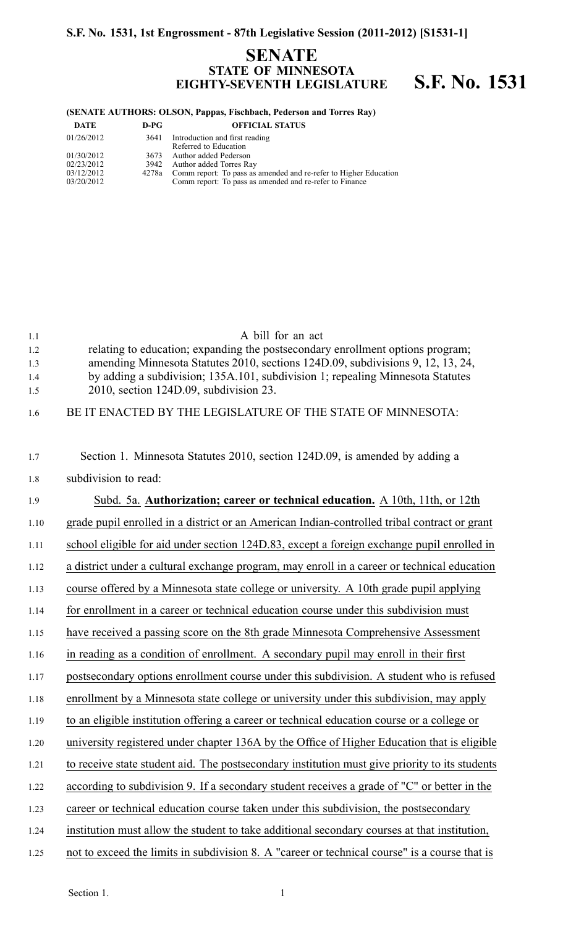## **SENATE STATE OF MINNESOTA EIGHTY-SEVENTH LEGISLATURE S.F. No. 1531**

### **(SENATE AUTHORS: OLSON, Pappas, Fischbach, Pederson and Torres Ray)**

| DATE       | $D-PG$ | <b>OFFICIAL STATUS</b>                                           |
|------------|--------|------------------------------------------------------------------|
| 01/26/2012 | 3641   | Introduction and first reading<br>Referred to Education          |
| 01/30/2012 |        | 3673 Author added Pederson                                       |
| 02/23/2012 |        | 3942 Author added Torres Ray                                     |
| 03/12/2012 | 4278a  | Comm report: To pass as amended and re-refer to Higher Education |
| 03/20/2012 |        | Comm report: To pass as amended and re-refer to Finance          |

| 1.1  | A bill for an act                                                                              |
|------|------------------------------------------------------------------------------------------------|
| 1.2  | relating to education; expanding the postsecondary enrollment options program;                 |
| 1.3  | amending Minnesota Statutes 2010, sections 124D.09, subdivisions 9, 12, 13, 24,                |
| 1.4  | by adding a subdivision; 135A.101, subdivision 1; repealing Minnesota Statutes                 |
| 1.5  | 2010, section 124D.09, subdivision 23.                                                         |
| 1.6  | BE IT ENACTED BY THE LEGISLATURE OF THE STATE OF MINNESOTA:                                    |
| 1.7  | Section 1. Minnesota Statutes 2010, section 124D.09, is amended by adding a                    |
| 1.8  | subdivision to read:                                                                           |
| 1.9  | Subd. 5a. Authorization; career or technical education. A 10th, 11th, or 12th                  |
| 1.10 | grade pupil enrolled in a district or an American Indian-controlled tribal contract or grant   |
| 1.11 | school eligible for aid under section 124D.83, except a foreign exchange pupil enrolled in     |
| 1.12 | a district under a cultural exchange program, may enroll in a career or technical education    |
| 1.13 | course offered by a Minnesota state college or university. A 10th grade pupil applying         |
| 1.14 | for enrollment in a career or technical education course under this subdivision must           |
| 1.15 | have received a passing score on the 8th grade Minnesota Comprehensive Assessment              |
| 1.16 | in reading as a condition of enrollment. A secondary pupil may enroll in their first           |
| 1.17 | postsecondary options enrollment course under this subdivision. A student who is refused       |
| 1.18 | enrollment by a Minnesota state college or university under this subdivision, may apply        |
| 1.19 | to an eligible institution offering a career or technical education course or a college or     |
| 1.20 | university registered under chapter 136A by the Office of Higher Education that is eligible    |
| 1.21 | to receive state student aid. The postsecondary institution must give priority to its students |
| 1.22 | according to subdivision 9. If a secondary student receives a grade of "C" or better in the    |
| 1.23 | career or technical education course taken under this subdivision, the postsecondary           |
| 1.24 | institution must allow the student to take additional secondary courses at that institution,   |
| 1.25 | not to exceed the limits in subdivision 8. A "career or technical course" is a course that is  |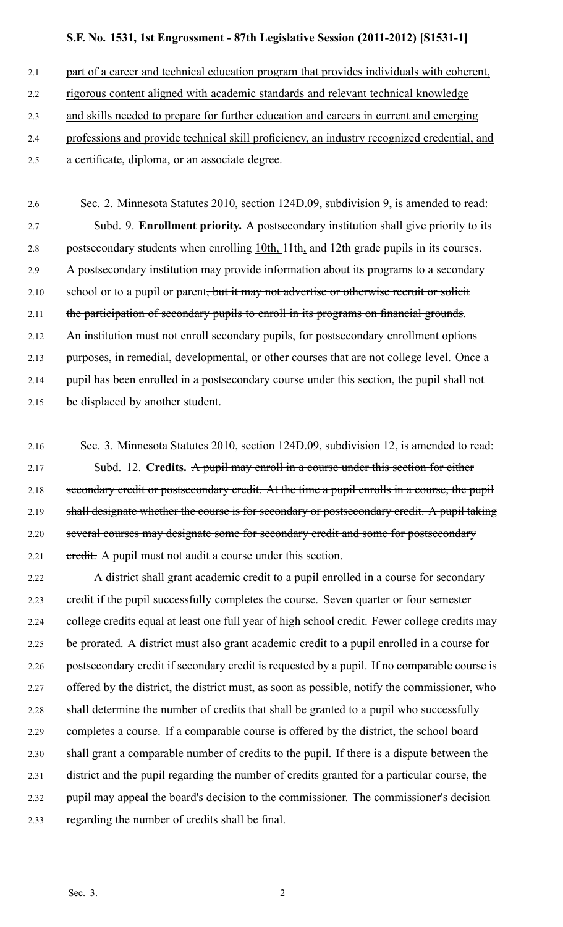2.1 part of a career and technical education program that provides individuals with coherent,

- 2.2 rigorous content aligned with academic standards and relevant technical knowledge
- 2.3 and skills needed to prepare for further education and careers in current and emerging
- 2.4 professions and provide technical skill proficiency, an industry recognized credential, and
- 2.5 <sup>a</sup> certificate, diploma, or an associate degree.

2.6 Sec. 2. Minnesota Statutes 2010, section 124D.09, subdivision 9, is amended to read: 2.7 Subd. 9. **Enrollment priority.** A postsecondary institution shall give priority to its 2.8 postsecondary students when enrolling 10th, 11th, and 12th grade pupils in its courses. 2.9 A postsecondary institution may provide information about its programs to <sup>a</sup> secondary 2.10 school or to a pupil or parent<del>, but it may not advertise or otherwise recruit or solicit</del> 2.11 the participation of secondary pupils to enroll in its programs on financial grounds. 2.12 An institution must not enroll secondary pupils, for postsecondary enrollment options 2.13 purposes, in remedial, developmental, or other courses that are not college level. Once <sup>a</sup> 2.14 pupil has been enrolled in <sup>a</sup> postsecondary course under this section, the pupil shall not 2.15 be displaced by another student.

- 2.16 Sec. 3. Minnesota Statutes 2010, section 124D.09, subdivision 12, is amended to read: 2.17 Subd. 12. **Credits.** A pupil may enroll in <sup>a</sup> course under this section for either 2.18 secondary credit or postsecondary credit. At the time a pupil enrolls in a course, the pupil 2.19 shall designate whether the course is for secondary or postsecondary credit. A pupil taking 2.20 several courses may designate some for secondary credit and some for postsecondary 2.21 eredit. A pupil must not audit a course under this section.
- 2.22 A district shall gran<sup>t</sup> academic credit to <sup>a</sup> pupil enrolled in <sup>a</sup> course for secondary 2.23 credit if the pupil successfully completes the course. Seven quarter or four semester 2.24 college credits equal at least one full year of high school credit. Fewer college credits may 2.25 be prorated. A district must also gran<sup>t</sup> academic credit to <sup>a</sup> pupil enrolled in <sup>a</sup> course for 2.26 postsecondary credit if secondary credit is requested by <sup>a</sup> pupil. If no comparable course is 2.27 offered by the district, the district must, as soon as possible, notify the commissioner, who 2.28 shall determine the number of credits that shall be granted to <sup>a</sup> pupil who successfully 2.29 completes <sup>a</sup> course. If <sup>a</sup> comparable course is offered by the district, the school board 2.30 shall gran<sup>t</sup> <sup>a</sup> comparable number of credits to the pupil. If there is <sup>a</sup> dispute between the 2.31 district and the pupil regarding the number of credits granted for <sup>a</sup> particular course, the 2.32 pupil may appeal the board's decision to the commissioner. The commissioner's decision 2.33 regarding the number of credits shall be final.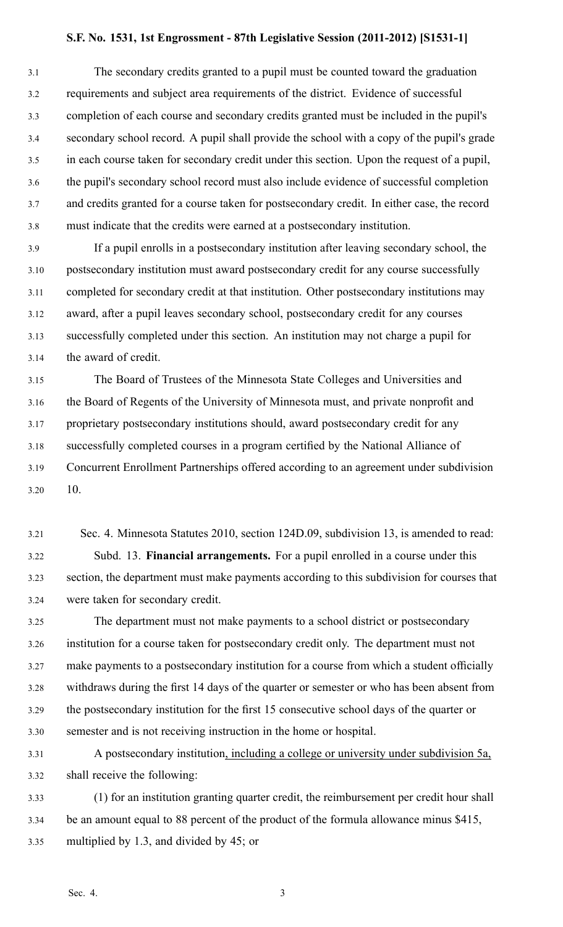3.1 The secondary credits granted to <sup>a</sup> pupil must be counted toward the graduation 3.2 requirements and subject area requirements of the district. Evidence of successful 3.3 completion of each course and secondary credits granted must be included in the pupil's 3.4 secondary school record. A pupil shall provide the school with <sup>a</sup> copy of the pupil's grade 3.5 in each course taken for secondary credit under this section. Upon the reques<sup>t</sup> of <sup>a</sup> pupil, 3.6 the pupil's secondary school record must also include evidence of successful completion 3.7 and credits granted for <sup>a</sup> course taken for postsecondary credit. In either case, the record 3.8 must indicate that the credits were earned at <sup>a</sup> postsecondary institution.

3.9 If <sup>a</sup> pupil enrolls in <sup>a</sup> postsecondary institution after leaving secondary school, the 3.10 postsecondary institution must award postsecondary credit for any course successfully 3.11 completed for secondary credit at that institution. Other postsecondary institutions may 3.12 award, after <sup>a</sup> pupil leaves secondary school, postsecondary credit for any courses 3.13 successfully completed under this section. An institution may not charge <sup>a</sup> pupil for 3.14 the award of credit.

3.15 The Board of Trustees of the Minnesota State Colleges and Universities and 3.16 the Board of Regents of the University of Minnesota must, and private nonprofit and 3.17 proprietary postsecondary institutions should, award postsecondary credit for any 3.18 successfully completed courses in <sup>a</sup> program certified by the National Alliance of 3.19 Concurrent Enrollment Partnerships offered according to an agreemen<sup>t</sup> under subdivision 3.20 10.

3.21 Sec. 4. Minnesota Statutes 2010, section 124D.09, subdivision 13, is amended to read: 3.22 Subd. 13. **Financial arrangements.** For <sup>a</sup> pupil enrolled in <sup>a</sup> course under this 3.23 section, the department must make payments according to this subdivision for courses that 3.24 were taken for secondary credit.

3.25 The department must not make payments to <sup>a</sup> school district or postsecondary 3.26 institution for <sup>a</sup> course taken for postsecondary credit only. The department must not 3.27 make payments to <sup>a</sup> postsecondary institution for <sup>a</sup> course from which <sup>a</sup> student officially 3.28 withdraws during the first 14 days of the quarter or semester or who has been absent from 3.29 the postsecondary institution for the first 15 consecutive school days of the quarter or 3.30 semester and is not receiving instruction in the home or hospital.

3.31 A postsecondary institution, including <sup>a</sup> college or university under subdivision 5a, 3.32 shall receive the following:

3.33 (1) for an institution granting quarter credit, the reimbursement per credit hour shall 3.34 be an amount equal to 88 percen<sup>t</sup> of the product of the formula allowance minus \$415, 3.35 multiplied by 1.3, and divided by 45; or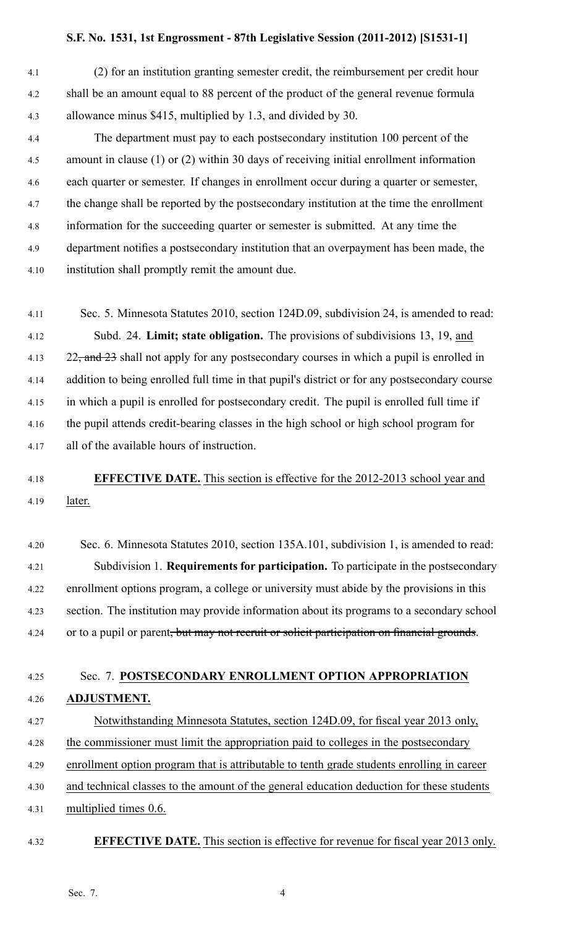4.1 (2) for an institution granting semester credit, the reimbursement per credit hour 4.2 shall be an amount equal to 88 percen<sup>t</sup> of the product of the general revenue formula 4.3 allowance minus \$415, multiplied by 1.3, and divided by 30.

4.4 The department must pay to each postsecondary institution 100 percen<sup>t</sup> of the 4.5 amount in clause (1) or (2) within 30 days of receiving initial enrollment information 4.6 each quarter or semester. If changes in enrollment occur during <sup>a</sup> quarter or semester, 4.7 the change shall be reported by the postsecondary institution at the time the enrollment 4.8 information for the succeeding quarter or semester is submitted. At any time the 4.9 department notifies <sup>a</sup> postsecondary institution that an overpaymen<sup>t</sup> has been made, the 4.10 institution shall promptly remit the amount due.

4.11 Sec. 5. Minnesota Statutes 2010, section 124D.09, subdivision 24, is amended to read: 4.12 Subd. 24. **Limit; state obligation.** The provisions of subdivisions 13, 19, and 4.13 22, and 23 shall not apply for any postsecondary courses in which a pupil is enrolled in 4.14 addition to being enrolled full time in that pupil's district or for any postsecondary course 4.15 in which <sup>a</sup> pupil is enrolled for postsecondary credit. The pupil is enrolled full time if 4.16 the pupil attends credit-bearing classes in the high school or high school program for 4.17 all of the available hours of instruction.

# 4.18 **EFFECTIVE DATE.** This section is effective for the 2012-2013 school year and 4.19 later.

4.20 Sec. 6. Minnesota Statutes 2010, section 135A.101, subdivision 1, is amended to read: 4.21 Subdivision 1. **Requirements for participation.** To participate in the postsecondary 4.22 enrollment options program, <sup>a</sup> college or university must abide by the provisions in this 4.23 section. The institution may provide information about its programs to <sup>a</sup> secondary school 4.24 or to a pupil or parent<del>, but may not recruit or solicit participation on financial grounds</del>.

# 4.25 Sec. 7. **POSTSECONDARY ENROLLMENT OPTION APPROPRIATION** 4.26 **ADJUSTMENT.** 4.27 Notwithstanding Minnesota Statutes, section 124D.09, for fiscal year 2013 only, 4.28 the commissioner must limit the appropriation paid to colleges in the postsecondary 4.29 enrollment option program that is attributable to tenth grade students enrolling in career 4.30 and technical classes to the amount of the general education deduction for these students 4.31 multiplied times 0.6.

4.32 **EFFECTIVE DATE.** This section is effective for revenue for fiscal year 2013 only.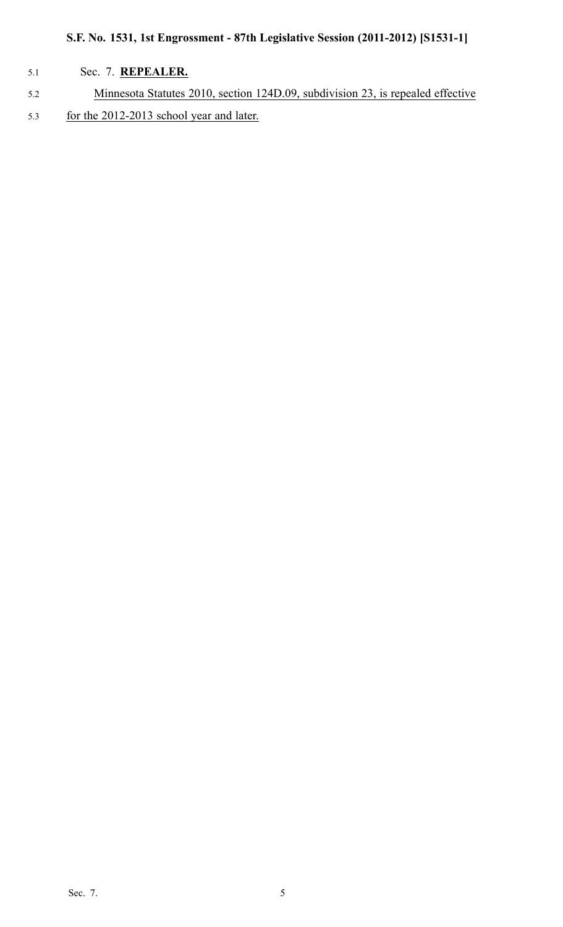## 5.1 Sec. 7. **REPEALER.**

5.2 Minnesota Statutes 2010, section 124D.09, subdivision 23, is repealed effective 5.3 for the 2012-2013 school year and later.